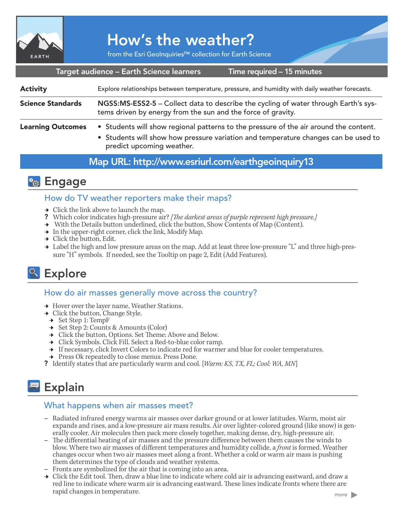

# How's the weather?

from the Esri GeoInquiries™ collection for Earth Science

Target audience – Earth Science learners

Time required – 15 minutes

| <b>Activity</b>          | Explore relationships between temperature, pressure, and humidity with daily weather forecasts.                                                                                                          |
|--------------------------|----------------------------------------------------------------------------------------------------------------------------------------------------------------------------------------------------------|
| <b>Science Standards</b> | NGSS:MS-ESS2-5 - Collect data to describe the cycling of water through Earth's sys-<br>tems driven by energy from the sun and the force of gravity.                                                      |
| <b>Learning Outcomes</b> | • Students will show regional patterns to the pressure of the air around the content.<br>• Students will show how pressure variation and temperature changes can be used to<br>predict upcoming weather. |

## Map URL: http://www.esriurl.com/earthgeoinquiry13

## **R<sub>o</sub>** Engage

## How do TV weather reporters make their maps?

- $\rightarrow$  Click the link above to launch the map.
- ? Which color indicates high-pressure air? *[The darkest areas of purple represent high pressure.]*
- → With the Details button underlined, click the button, Show Contents of Map (Content).
- $\rightarrow$  In the upper-right corner, click the link, Modify Map.
- $\rightarrow$  Click the button, Edit.
- → Label the high and low pressure areas on the map. Add at least three low-pressure "L" and three high-pressure "H" symbols. If needed, see the Tooltip on page 2, Edit (Add Features).

## <sup>o</sup> Explore

## How do air masses generally move across the country?

- **→** Hover over the layer name, Weather Stations.
- $\rightarrow$  Click the button, Change Style.
- ʅ Set Step 1: TempF
- ʅ Set Step 2: Counts & Amounts (Color)
- **→** Click the button, Options. Set Theme: Above and Below.
- → Click Symbols. Click Fill. Select a Red-to-blue color ramp.
- $\blacktriangleright\;$  If necessary, click Invert Colors to indicate red for warmer and blue for cooler temperatures.
- **→** Press Ok repeatedly to close menus. Press Done.
- ? Identify states that are particularly warm and cool. [*Warm: KS, TX, FL; Cool: WA, MN*]

# **Explain**

## What happens when air masses meet?

- **–** Radiated infrared energy warms air masses over darker ground or at lower latitudes. Warm, moist air expands and rises, and a low-pressure air mass results. Air over lighter-colored ground (like snow) is generally cooler. Air molecules then pack more closely together, making dense, dry, high-pressure air.
- **–** The differential heating of air masses and the pressure difference between them causes the winds to blow. Where two air masses of different temperatures and humidity collide, a *front* is formed. Weather changes occur when two air masses meet along a front. Whether a cold or warm air mass is pushing them determines the type of clouds and weather systems.
- **–** Fronts are symbolized for the air that is coming into an area.
- $\rightarrow$  Click the Edit tool. Then, draw a blue line to indicate where cold air is advancing eastward, and draw a red line to indicate where warm air is advancing eastward. These lines indicate fronts where there are rapid changes in temperature.